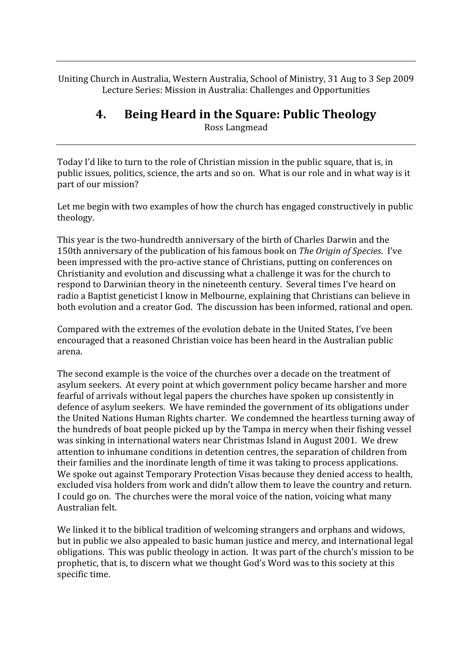Uniting
Church
in
Australia,
Western
Australia,
School
of
Ministry,
31
Aug
to
3
Sep
2009 Lecture
Series:
Mission
in
Australia:
Challenges
and
Opportunities

# **4. Being
Heard
in
the
Square:
Public
Theology**

Ross
Langmead

Today I'd like to turn to the role of Christian mission in the public square, that is, in public issues, politics, science, the arts and so on. What is our role and in what way is it part
of
our
mission?

Let me begin with two examples of how the church has engaged constructively in public theology.

This
year
is
the
two‐hundredth
anniversary
of
the
birth
of
Charles
Darwin
and
the 150th anniversary of the publication of his famous book on The Origin of Species. I've been
impressed
with
the
pro‐active
stance
of
Christians,
putting
on
conferences
on Christianity
and
evolution
and
discussing
what
a
challenge
it
was
for
the
church
to respond to Darwinian theory in the nineteenth century. Several times I've heard on radio a Baptist geneticist I know in Melbourne, explaining that Christians can believe in both
evolution
and
a
creator
God.

The
discussion
has
been
informed,
rational
and
open.

Compared
with
the
extremes
of
the
evolution
debate
in
the
United
States,
I've
been encouraged
that
a
reasoned
Christian
voice
has
been
heard
in
the
Australian
public arena.

The second example is the voice of the churches over a decade on the treatment of asylum
seekers.

At
every
point
at
which
government
policy
became
harsher
and
more fearful
of
arrivals
without
legal
papers
the
churches
have
spoken
up
consistently
in defence of asylum seekers. We have reminded the government of its obligations under the
United
Nations
Human
Rights
charter.

We
condemned
the
heartless
turning
away
of the
hundreds
of
boat
people
picked
up
by
the
Tampa
in
mercy
when
their
fishing
vessel was sinking in international waters near Christmas Island in August 2001. We drew attention
to
inhumane
conditions
in
detention
centres,
the
separation
of
children
from their
families
and
the
inordinate
length
of
time
it
was
taking
to
process
applications. We spoke out against Temporary Protection Visas because they denied access to health, excluded visa holders from work and didn't allow them to leave the country and return. I could go on. The churches were the moral voice of the nation, voicing what many Australian
felt.

We linked it to the biblical tradition of welcoming strangers and orphans and widows, but
in
public
we
also
appealed
to
basic
human
justice
and
mercy,
and
international
legal obligations. This was public theology in action. It was part of the church's mission to be prophetic, that is, to discern what we thought God's Word was to this society at this specific
time.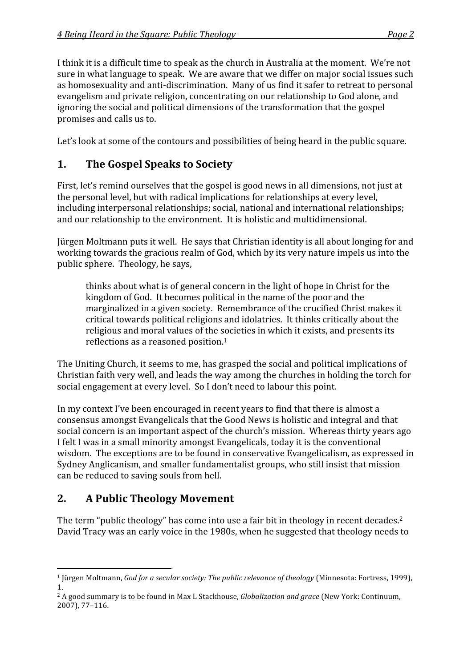I think it is a difficult time to speak as the church in Australia at the moment. We're not sure
in
what
language
to
speak.

We
are
aware
that
we
differ
on
major
social
issues
such as homosexuality and anti-discrimination. Many of us find it safer to retreat to personal evangelism
and
private
religion,
concentrating
on
our
relationship
to
God
alone,
and ignoring
the
social
and
political
dimensions
of
the
transformation
that
the
gospel promises
and
calls
us
to.

Let's look at some of the contours and possibilities of being heard in the public square.

# **1. The
Gospel
Speaks
to
Society**

First, let's remind ourselves that the gospel is good news in all dimensions, not just at the
personal
level,
but
with
radical
implications
for
relationships
at
every
level, including
interpersonal
relationships;
social,
national
and
international
relationships; and
our
relationship
to
the
environment.

It
is
holistic
and
multidimensional.

Jürgen
Moltmann
puts
it
well.

He
says
that
Christian
identity
is
all
about
longing
for
and working towards the gracious realm of God, which by its very nature impels us into the public
sphere.

Theology,
he
says,

thinks
about
what
is
of
general
concern
in
the
light
of
hope
in
Christ
for
the kingdom of God. It becomes political in the name of the poor and the marginalized
in
a
given
society.

Remembrance
of
the
crucified
Christ
makes
it critical
towards
political
religions
and
idolatries.

It
thinks
critically
about
the religious and moral values of the societies in which it exists, and presents its reflections
as
a
reasoned
position.1

The
Uniting
Church,
it
seems
to
me,
has
grasped
the
social
and
political
implications
of Christian
faith
very
well,
and
leads
the
way
among
the
churches
in
holding
the
torch
for social
engagement
at
every
level.

So
I
don't
need
to
labour
this
point.

In my context I've been encouraged in recent years to find that there is almost a consensus
amongst
Evangelicals
that
the
Good
News
is
holistic
and
integral
and
that social
concern
is
an
important
aspect
of
the
church's
mission.

Whereas
thirty
years
ago I felt I was in a small minority amongst Evangelicals, today it is the conventional wisdom. The exceptions are to be found in conservative Evangelicalism, as expressed in Sydney
Anglicanism,
and
smaller
fundamentalist
groups,
who
still
insist
that
mission can
be
reduced
to
saving
souls
from
hell.

# **2. A
Public
Theology
Movement**

The term "public theology" has come into use a fair bit in theology in recent decades.<sup>2</sup> David Tracy was an early voice in the 1980s, when he suggested that theology needs to

 <sup>1</sup> Jürgen Moltmann, God for a secular society: The public relevance of theology (Minnesota: Fortress, 1999), 1.

<sup>&</sup>lt;sup>2</sup> A good summary is to be found in Max L Stackhouse, *Globalization and grace* (New York: Continuum, 2007),
77–116.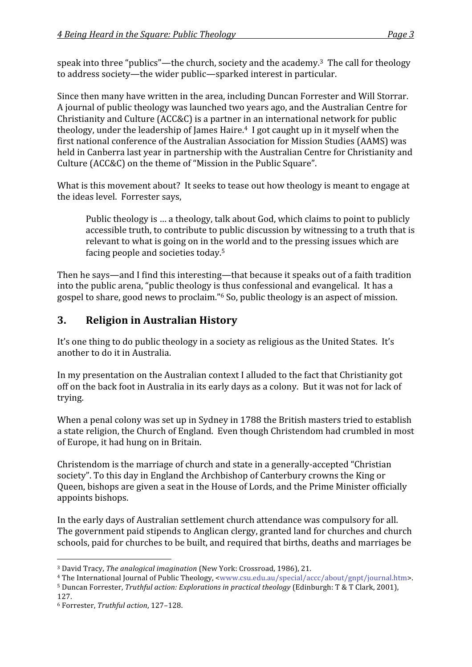speak into three "publics"—the church, society and the academy.<sup>3</sup> The call for theology to
address
society—the
wider
public—sparked
interest
in
particular.

Since
then
many
have
written
in
the
area,
including
Duncan
Forrester
and
Will
Storrar. A
journal
of
public
theology
was
launched
two
years
ago,
and
the
Australian
Centre
for Christianity
and
Culture
(ACC&C)
is
a
partner
in
an
international
network
for
public theology, under the leadership of James Haire.<sup>4</sup> I got caught up in it myself when the first national conference of the Australian Association for Mission Studies (AAMS) was held in Canberra last year in partnership with the Australian Centre for Christianity and Culture (ACC&C) on the theme of "Mission in the Public Square".

What is this movement about? It seeks to tease out how theology is meant to engage at the
ideas
level.

Forrester
says,

Public theology is ... a theology, talk about God, which claims to point to publicly accessible truth, to contribute to public discussion by witnessing to a truth that is relevant to what is going on in the world and to the pressing issues which are facing
people
and
societies
today.5

Then he says—and I find this interesting—that because it speaks out of a faith tradition into the public arena, "public theology is thus confessional and evangelical. It has a gospel
to
share,
good
news
to
proclaim."6
So,
public
theology
is
an
aspect
of
mission.

### **3. Religion
in
Australian
History**

It's one thing to do public theology in a society as religious as the United States. It's another
to
do
it
in
Australia.

In my presentation on the Australian context I alluded to the fact that Christianity got off on the back foot in Australia in its early days as a colony. But it was not for lack of trying.

When a penal colony was set up in Sydney in 1788 the British masters tried to establish a
state
religion,
the
Church
of
England.

Even
though
Christendom
had
crumbled
in
most of
Europe,
it
had
hung
on
in
Britain.

Christendom
is
the
marriage
of
church
and
state
in
a
generally‐accepted
"Christian society". To this day in England the Archbishop of Canterbury crowns the King or Queen,
bishops
are
given
a
seat
in
the
House
of
Lords,
and
the
Prime
Minister
officially appoints
bishops.

In
the
early
days
of
Australian
settlement
church
attendance
was
compulsory
for
all. The government paid stipends to Anglican clergy, granted land for churches and church schools,
paid
for
churches
to
be
built,
and
required
that
births,
deaths
and
marriages
be

<sup>5</sup> Duncan Forrester, Truthful action: Explorations in practical theology (Edinburgh: T & T Clark, 2001), 127.

<sup>&</sup>lt;sup>3</sup> David Tracy, The analogical imagination (New York: Crossroad, 1986), 21.

<sup>4</sup>The
International
Journal
of
Public
Theology,
<www.csu.edu.au/special/accc/about/gnpt/journal.htm>.

<sup>6</sup> Forrester, *Truthful
action*,
127–128.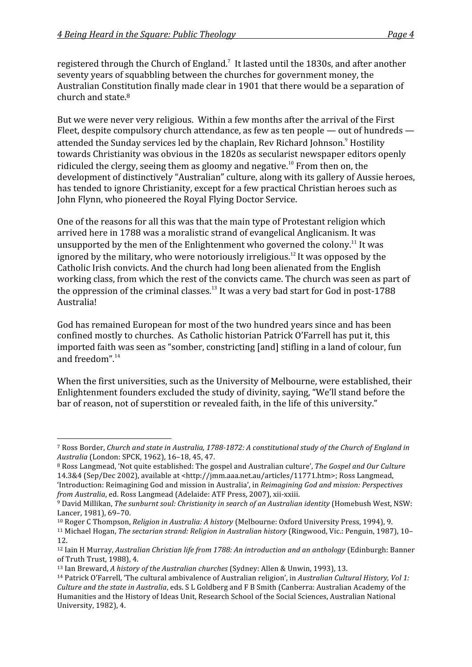registered through the Church of England.<sup>7</sup> It lasted until the 1830s, and after another seventy
years
of
squabbling
between
the
churches
for
government
money,
the Australian
Constitution
finally
made
clear
in
1901
that
there
would
be
a
separation
of church
and
state.8

But we were never very religious. Within a few months after the arrival of the First Fleet, despite compulsory church attendance, as few as ten people — out of hundreds attended the Sunday services led by the chaplain, Rev Richard Johnson.<sup>9</sup> Hostility towards
Christianity
was
obvious
in
the
1820s
as
secularist
newspaper
editors
openly ridiculed the clergy, seeing them as gloomy and negative.<sup>10</sup> From then on, the development
of
distinctively
"Australian"
culture,
along
with
its
gallery
of
Aussie
heroes, has tended to ignore Christianity, except for a few practical Christian heroes such as John
Flynn,
who
pioneered
the
Royal
Flying
Doctor
Service.

One of the reasons for all this was that the main type of Protestant religion which arrived
here
in
1788
was
a
moralistic
strand
of
evangelical
Anglicanism.
It
was unsupported by the men of the Enlightenment who governed the colony.<sup>11</sup> It was ignored by the military, who were notoriously irreligious.<sup>12</sup> It was opposed by the Catholic
Irish
convicts.
And
the
church
had
long
been
alienated
from
the
English working class, from which the rest of the convicts came. The church was seen as part of the oppression of the criminal classes.<sup>13</sup> It was a very bad start for God in post-1788 Australia!

God
has
remained
European
for
most
of
the
two
hundred
years
since
and
has
been confined
mostly
to
churches. As
Catholic
historian
Patrick
O'Farrell
has
put
it,
this imported faith was seen as "somber, constricting [and] stifling in a land of colour, fun and
freedom".14

When the first universities, such as the University of Melbourne, were established, their Enlightenment
founders
excluded
the
study
of
divinity,
saying,
"We'll
stand
before
the bar of reason, not of superstition or revealed faith, in the life of this university."

<sup>10</sup> Roger C Thompson, *Religion in Australia: A history* (Melbourne: Oxford University Press, 1994), 9.

<sup>&</sup>lt;sup>7</sup> Ross Border, Church and state in Australia, 1788-1872: A constitutional study of the Church of England in *Australia*(London:
SPCK,
1962),
16–18,
45,
47.

<sup>&</sup>lt;sup>8</sup> Ross Langmead, 'Not quite established: The gospel and Australian culture', The Gospel and Our Culture 14.3&4 (Sep/Dec 2002), available at <http://imm.aaa.net.au/articles/11771.htm>; Ross Langmead, 'Introduction:
Reimagining
God
and
mission
in
Australia',
in *Reimagining
God
and
mission:
Perspectives*  from Australia, ed. Ross Langmead (Adelaide: ATF Press, 2007), xii-xxiii.

<sup>&</sup>lt;sup>9</sup> David Millikan, The sunburnt soul: Christianity in search of an Australian identity (Homebush West, NSW: Lancer,
1981),
69–70.

<sup>11</sup> Michael
Hogan, *The
sectarian
strand:
Religion
in
Australian
history*(Ringwood,
Vic.:
Penguin,
1987),
10– 12.

<sup>&</sup>lt;sup>12</sup> Iain H Murray, Australian Christian life from 1788: An introduction and an anthology (Edinburgh: Banner of
Truth
Trust,
1988),
4.

<sup>&</sup>lt;sup>13</sup> Ian Breward, *A history of the Australian churches* (Sydney: Allen & Unwin, 1993), 13.

<sup>&</sup>lt;sup>14</sup> Patrick O'Farrell, 'The cultural ambivalence of Australian religion', in Australian Cultural History, Vol 1: Culture and the state in Australia, eds. S L Goldberg and F B Smith (Canberra: Australian Academy of the Humanities and the History of Ideas Unit, Research School of the Social Sciences, Australian National University,
1982),
4.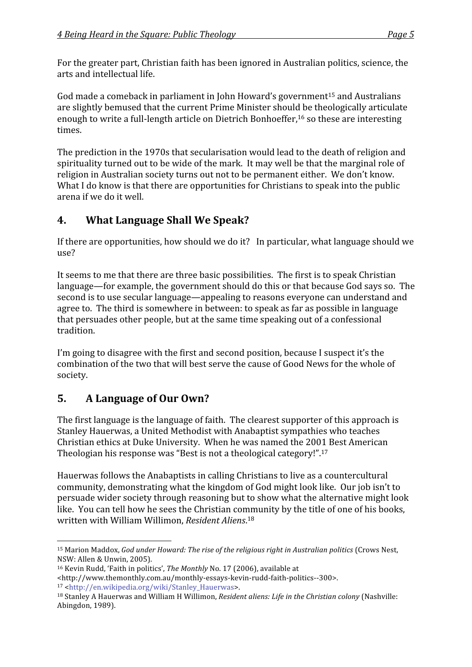For the greater part, Christian faith has been ignored in Australian politics, science, the arts
and
intellectual
life.

God made a comeback in parliament in John Howard's government<sup>15</sup> and Australians are
slightly
bemused
that
the
current
Prime
Minister
should
be
theologically
articulate enough to write a full-length article on Dietrich Bonhoeffer,<sup>16</sup> so these are interesting times.

The
prediction
in
the
1970s
that
secularisation
would
lead
to
the
death
of
religion
and spirituality turned out to be wide of the mark. It may well be that the marginal role of religion in Australian society turns out not to be permanent either. We don't know. What I do know is that there are opportunities for Christians to speak into the public arena
if
we
do
it
well.

### **4. What
Language
Shall
We
Speak?**

If there are opportunities, how should we do it? In particular, what language should we use?

It seems to me that there are three basic possibilities. The first is to speak Christian language—for
example,
the
government
should
do
this
or
that
because
God
says
so.

The second
is
to
use
secular
language—appealing
to
reasons
everyone
can
understand
and agree
to.

The
third
is
somewhere
in
between:
to
speak
as
far
as
possible
in
language that
persuades
other
people,
but
at
the
same
time
speaking
out
of
a
confessional tradition.

I'm going to disagree with the first and second position, because I suspect it's the combination
of
the
two
that
will
best
serve
the
cause
of
Good
News
for
the
whole
of society.

## **5. A
Language
of
Our
Own?**

The first language is the language of faith. The clearest supporter of this approach is Stanley
Hauerwas,
a
United
Methodist
with
Anabaptist
sympathies
who
teaches Christian
ethics
at
Duke
University.

When
he
was
named
the
2001
Best
American Theologian his response was "Best is not a theological category!".<sup>17</sup>

Hauerwas
follows
the
Anabaptists
in
calling
Christians
to
live
as
a
countercultural community,
demonstrating
what
the
kingdom
of
God
might
look
like.

Our
job
isn't
to persuade
wider
society
through
reasoning
but
to
show
what
the
alternative
might
look like. You can tell how he sees the Christian community by the title of one of his books, written
with
William
Willimon, *Resident
Aliens*. 18

 <sup>15</sup> Marion Maddox, God under Howard: The rise of the religious right in Australian politics (Crows Nest, NSW:
Allen
&
Unwin,
2005).

<sup>&</sup>lt;sup>16</sup> Kevin Rudd, 'Faith in politics', The Monthly No. 17 (2006), available at

<sup>&</sup>lt;http://www.themonthly.com.au/monthly‐essays‐kevin‐rudd‐faith‐politics‐‐300>. 17
<http://en.wikipedia.org/wiki/Stanley\_Hauerwas>.

<sup>&</sup>lt;sup>18</sup> Stanley A Hauerwas and William H Willimon, Resident aliens: Life in the Christian colony (Nashville: Abingdon,
1989).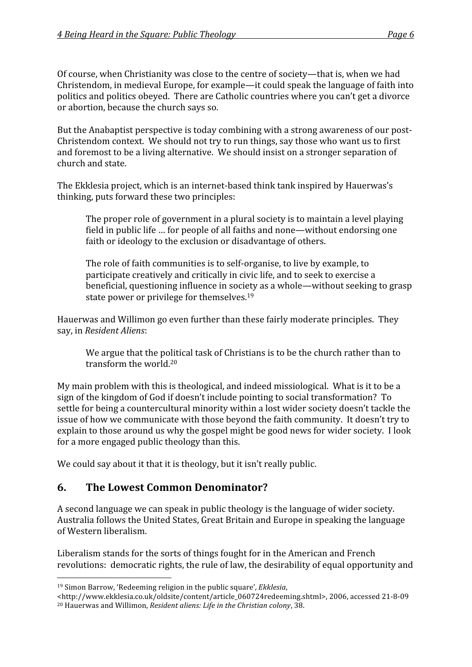Of
course,
when
Christianity
was
close
to
the
centre
of
society—that
is,
when
we
had Christendom,
in
medieval
Europe,
for
example—it
could
speak
the
language
of
faith
into politics
and
politics
obeyed.

There
are
Catholic
countries
where
you
can't
get
a
divorce or
abortion,
because
the
church
says
so.

But the Anabaptist perspective is today combining with a strong awareness of our post-Christendom
context.

We
should
not
try
to
run
things,
say
those
who
want
us
to
first and
foremost
to
be
a
living
alternative.

We
should
insist
on
a
stronger
separation
of church
and
state.

The
Ekklesia
project,
which
is
an
internet‐based
think
tank
inspired
by
Hauerwas's thinking,
puts
forward
these
two
principles:

The proper role of government in a plural society is to maintain a level playing field
in
public
life
…
for
people
of
all
faiths
and
none—without
endorsing
one faith or ideology to the exclusion or disadvantage of others.

The role of faith communities is to self-organise, to live by example, to participate
creatively
and
critically
in
civic
life,
and
to
seek
to
exercise
a beneficial, questioning influence in society as a whole—without seeking to grasp state
power
or
privilege
for
themselves.19

Hauerwas
and
Willimon
go
even
further
than
these
fairly
moderate
principles.

They say,
in *Resident
Aliens*:

We argue that the political task of Christians is to be the church rather than to transform
the
world.20

My main problem with this is theological, and indeed missiological. What is it to be a sign
of
the
kingdom
of
God
if
doesn't
include
pointing
to
social
transformation?

To settle for being a countercultural minority within a lost wider society doesn't tackle the issue
of
how
we
communicate
with
those
beyond
the
faith
community.

It
doesn't
try
to explain to those around us why the gospel might be good news for wider society. I look for
a
more
engaged
public
theology
than
this.

We could say about it that it is theology, but it isn't really public.

### **6. The
Lowest
Common
Denominator?**

A second language we can speak in public theology is the language of wider society. Australia
follows
the
United
States,
Great
Britain
and
Europe
in
speaking
the
language of
Western
liberalism.

Liberalism stands for the sorts of things fought for in the American and French revolutions: democratic rights, the rule of law, the desirability of equal opportunity and

<sup>&</sup>lt;sup>19</sup> Simon Barrow, 'Redeeming religion in the public square', *Ekklesia*,

<sup>&</sup>lt;http://www.ekklesia.co.uk/oldsite/content/article\_060724redeeming.shtml>,
2006,
accessed
21‐8‐09 <sup>20</sup> Hauerwas
and
Willimon, *Resident
aliens:
Life
in
the
Christian
colony*,
38.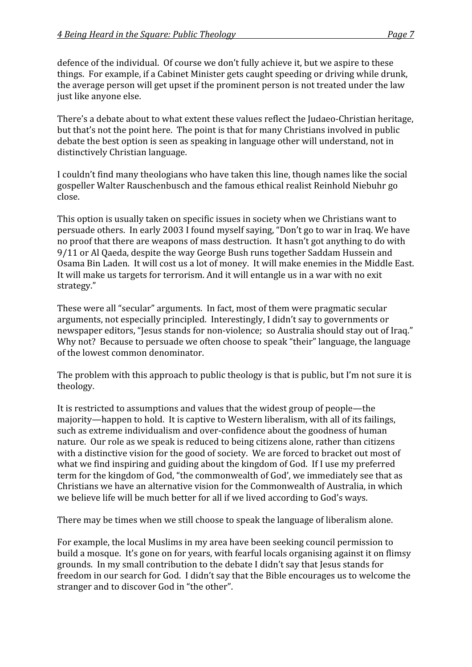defence of the individual. Of course we don't fully achieve it, but we aspire to these things.

For
example,
if
a
Cabinet
Minister
gets
caught
speeding
or
driving
while
drunk, the
average
person
will
get
upset
if
the
prominent
person
is
not
treated
under
the
law just
like
anyone
else.

There's
a
debate
about
to
what
extent
these
values
reflect
the
Judaeo‐Christian
heritage, but that's not the point here. The point is that for many Christians involved in public debate
the
best
option
is
seen
as
speaking
in
language
other
will
understand,
not
in distinctively
Christian
language.

I couldn't find many theologians who have taken this line, though names like the social gospeller
Walter
Rauschenbusch
and
the
famous
ethical
realist
Reinhold
Niebuhr
go close.

This
option
is
usually
taken
on
specific
issues
in
society
when
we
Christians
want
to persuade
others.

In
early
2003
I
found
myself
saying,
"Don't
go
to
war
in
Iraq.
We
have no proof that there are weapons of mass destruction. It hasn't got anything to do with 9/11
or
Al
Qaeda,
despite
the
way
George
Bush
runs
together
Saddam
Hussein
and Osama Bin Laden. It will cost us a lot of money. It will make enemies in the Middle East. It will make us targets for terrorism. And it will entangle us in a war with no exit strategy."

These
were
all
"secular"
arguments.

In
fact,
most
of
them
were
pragmatic
secular arguments,
not
especially
principled.

Interestingly,
I
didn't
say
to
governments
or newspaper editors, "Jesus stands for non-violence; so Australia should stay out of Iraq." Why not? Because to persuade we often choose to speak "their" language, the language of
the
lowest
common
denominator.

The problem with this approach to public theology is that is public, but I'm not sure it is theology.

It is restricted to assumptions and values that the widest group of people—the majority—happen
to
hold.

It
is
captive
to
Western
liberalism,
with
all
of
its
failings, such as extreme individualism and over-confidence about the goodness of human nature.

Our
role
as
we
speak
is
reduced
to
being
citizens
alone,
rather
than
citizens with a distinctive vision for the good of society. We are forced to bracket out most of what we find inspiring and guiding about the kingdom of God. If I use my preferred term for the kingdom of God, "the commonwealth of God', we immediately see that as Christians
we
have
an
alternative
vision
for
the
Commonwealth
of
Australia,
in
which we believe life will be much better for all if we lived according to God's ways.

There
may
be
times
when
we
still
choose
to
speak
the
language
of
liberalism
alone.

For
example,
the
local
Muslims
in
my
area
have
been
seeking
council
permission
to build a mosque. It's gone on for years, with fearful locals organising against it on flimsy grounds.

In
my
small
contribution
to
the
debate
I
didn't
say
that
Jesus
stands
for freedom in our search for God. I didn't say that the Bible encourages us to welcome the stranger and to discover God in "the other".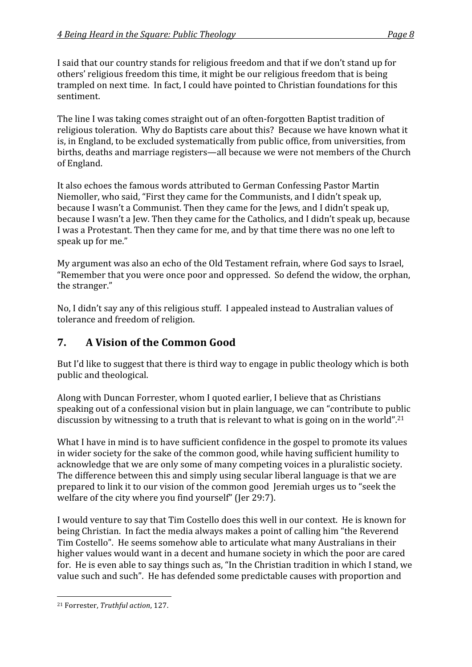I said that our country stands for religious freedom and that if we don't stand up for others'
religious
freedom
this
time,
it
might
be
our
religious
freedom
that
is
being trampled
on
next
time.

In
fact,
I
could
have
pointed
to
Christian
foundations
for
this sentiment.

The line I was taking comes straight out of an often-forgotten Baptist tradition of religious
toleration.

Why
do
Baptists
care
about
this?

Because
we
have
known
what
it is,
in
England,
to
be
excluded
systematically
from
public
office,
from
universities,
from births,
deaths
and
marriage
registers—all
because
we
were
not
members
of
the
Church of
England.

It also echoes the famous words attributed to German Confessing Pastor Martin Niemoller,
who
said,
"First
they
came
for
the
Communists,
and
I
didn't
speak
up, because
I
wasn't
a
Communist.
Then
they
came
for
the
Jews,
and
I
didn't
speak
up, because I wasn't a Jew. Then they came for the Catholics, and I didn't speak up, because I was a Protestant. Then they came for me, and by that time there was no one left to speak
up
for
me."

My
argument
was also
an
echo
of
the
Old
Testament
refrain,
where
God
says
to
Israel, "Remember
that
you
were
once
poor
and
oppressed.

So
defend
the
widow,
the
orphan, the
stranger."

No, I didn't say any of this religious stuff. I appealed instead to Australian values of tolerance
and
freedom
of
religion.

### **7. A
Vision
of
the
Common
Good**

But I'd like to suggest that there is third way to engage in public theology which is both public
and
theological.

Along
with
Duncan
Forrester,
whom
I
quoted
earlier,
I
believe
that
as
Christians speaking out of a confessional vision but in plain language, we can "contribute to public discussion by witnessing to a truth that is relevant to what is going on in the world".<sup>21</sup>

What I have in mind is to have sufficient confidence in the gospel to promote its values in
wider
society
for
the
sake
of
the
common
good,
while
having
sufficient
humility
to acknowledge that we are only some of many competing voices in a pluralistic society. The
difference
between
this
and
simply
using
secular
liberal
language
is
that
we
are prepared
to
link
it
to
our
vision
of
the
common
good

Jeremiah
urges
us
to
"seek
the welfare of the city where you find yourself" (Jer 29:7).

I would venture to say that Tim Costello does this well in our context. He is known for being Christian. In fact the media always makes a point of calling him "the Reverend Tim
Costello".

He
seems
somehow
able
to
articulate
what
many
Australians
in
their higher values would want in a decent and humane society in which the poor are cared for. He is even able to say things such as, "In the Christian tradition in which I stand, we value such and such". He has defended some predictable causes with proportion and

 <sup>21</sup> Forrester, *Truthful
action*,
127.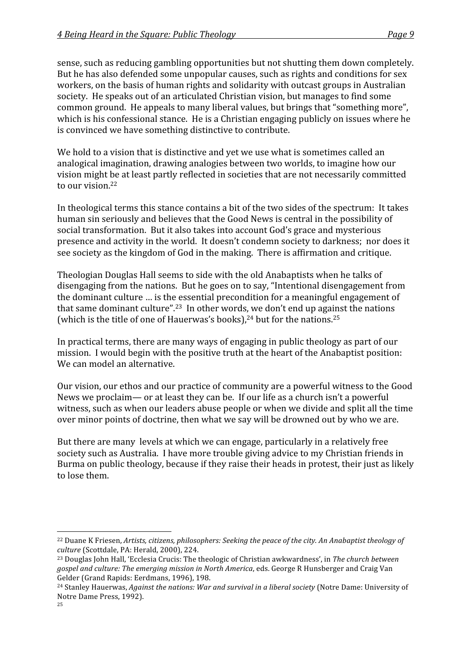sense,
such
as
reducing
gambling
opportunities
but
not
shutting
them
down
completely. But he has also defended some unpopular causes, such as rights and conditions for sex workers, on the basis of human rights and solidarity with outcast groups in Australian society.

He
speaks
out
of
an
articulated
Christian
vision,
but
manages
to
find
some common
ground.

He
appeals
to
many
liberal
values,
but
brings
that
"something
more", which is his confessional stance. He is a Christian engaging publicly on issues where he is
convinced
we
have
something
distinctive
to
contribute.

We hold to a vision that is distinctive and yet we use what is sometimes called an analogical
imagination,
drawing
analogies
between
two
worlds,
to
imagine
how
our vision
might
be
at
least
partly
reflected
in
societies
that
are
not
necessarily
committed to our vision.<sup>22</sup>

In theological terms this stance contains a bit of the two sides of the spectrum: It takes human
sin
seriously
and
believes
that
the
Good
News
is
central
in
the
possibility
of social
transformation.

But
it
also
takes
into
account
God's
grace
and
mysterious presence and activity in the world. It doesn't condemn society to darkness; nor does it see
society
as
the
kingdom
of
God
in
the
making.

There
is
affirmation
and
critique.

Theologian
Douglas
Hall
seems
to
side
with
the
old
Anabaptists
when
he
talks
of disengaging
from
the
nations.

But
he
goes
on
to
say,
"Intentional
disengagement
from the
dominant
culture
…
is
the
essential
precondition
for
a
meaningful
engagement
of that same dominant culture".<sup>23</sup> In other words, we don't end up against the nations (which is the title of one of Hauerwas's books),<sup>24</sup> but for the nations.<sup>25</sup>

In practical terms, there are many ways of engaging in public theology as part of our mission. I would begin with the positive truth at the heart of the Anabaptist position: We
can
model
an
alternative.

Our vision, our ethos and our practice of community are a powerful witness to the Good News we proclaim— or at least they can be. If our life as a church isn't a powerful witness, such as when our leaders abuse people or when we divide and split all the time over
minor
points
of
doctrine,
then
what
we
say
will
be
drowned
out
by
who
we
are.

But there are many levels at which we can engage, particularly in a relatively free society
such
as
Australia.

I
have
more
trouble
giving
advice
to
my
Christian
friends
in Burma on public theology, because if they raise their heads in protest, their just as likely to
lose
them.

<sup>&</sup>lt;sup>22</sup> Duane K Friesen, Artists, citizens, philosophers: Seeking the peace of the city. An Anabaptist theology of *culture*(Scottdale,
PA:
Herald,
2000),
224.

<sup>23</sup> Douglas
John
Hall,
'Ecclesia
Crucis:
The
theologic
of
Christian
awkwardness',
in *The
church
between*  gospel and culture: The emerging mission in North America, eds. George R Hunsberger and Craig Van Gelder
(Grand
Rapids:
Eerdmans,
1996),
198.

<sup>&</sup>lt;sup>24</sup> Stanley Hauerwas, *Against the nations: War and survival in a liberal society* (Notre Dame: University of Notre
Dame
Press,
1992).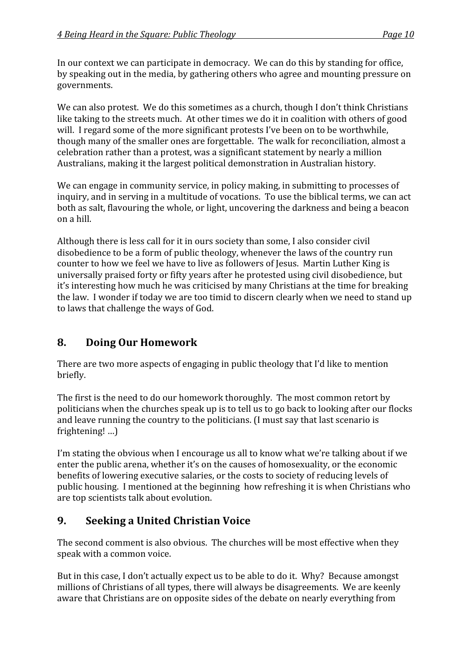In our context we can participate in democracy. We can do this by standing for office, by
speaking
out
in
the
media,
by
gathering
others
who
agree
and
mounting
pressure
on governments.

We can also protest. We do this sometimes as a church, though I don't think Christians like taking to the streets much. At other times we do it in coalition with others of good will. I regard some of the more significant protests I've been on to be worthwhile, though many of the smaller ones are forgettable. The walk for reconciliation, almost a celebration
rather
than
a
protest,
was
a
significant
statement
by
nearly
a
million Australians, making it the largest political demonstration in Australian history.

We can engage in community service, in policy making, in submitting to processes of inquiry, and in serving in a multitude of vocations. To use the biblical terms, we can act both
as
salt,
flavouring
the
whole,
or
light,
uncovering
the
darkness
and
being
a
beacon on
a
hill.

Although there is less call for it in ours society than some, I also consider civil disobedience
to
be
a
form
of
public
theology,
whenever
the
laws
of
the
country
run counter
to
how
we
feel
we
have
to
live
as
followers
of
Jesus.

Martin
Luther
King
is universally
praised
forty
or
fifty
years
after
he
protested
using
civil
disobedience,
but it's
interesting
how
much
he
was
criticised
by
many
Christians
at
the
time
for
breaking the law. I wonder if today we are too timid to discern clearly when we need to stand up to
laws
that
challenge
the
ways
of
God.

### **8. Doing
Our
Homework**

There
are
two
more
aspects
of
engaging
in
public
theology
that
I'd
like
to
mention briefly.

The first is the need to do our homework thoroughly. The most common retort by politicians when the churches speak up is to tell us to go back to looking after our flocks and leave running the country to the politicians. (I must say that last scenario is frightening!
…)

I'm stating the obvious when I encourage us all to know what we're talking about if we enter the public arena, whether it's on the causes of homosexuality, or the economic benefits of lowering executive salaries, or the costs to society of reducing levels of public
housing.

I
mentioned
at
the
beginning

how
refreshing
it
is
when
Christians
who are
top
scientists
talk
about
evolution.

### **9. Seeking
a
United
Christian
Voice**

The
second
comment
is
also
obvious.

The
churches
will
be
most
effective
when
they speak
with
a
common
voice.

But in this case, I don't actually expect us to be able to do it. Why? Because amongst millions of Christians of all types, there will always be disagreements. We are keenly aware that Christians are on opposite sides of the debate on nearly everything from